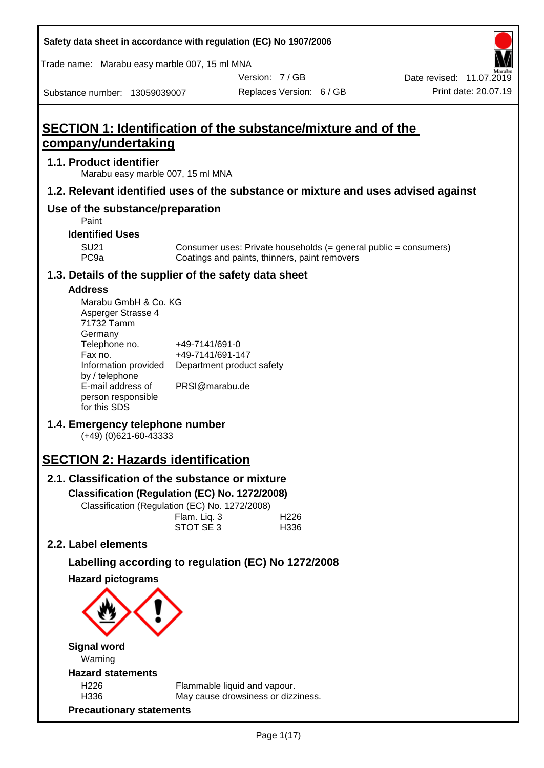| Safety data sheet in accordance with regulation (EC) No 1907/2006 |  |
|-------------------------------------------------------------------|--|
|-------------------------------------------------------------------|--|

Trade name: Marabu easy marble 007, 15 ml MNA

Marabu easy marble 007, 15 ml MNA

**Use of the substance/preparation**

Date revised: 11.07.2019

Substance number: 13059039007

**company/undertaking**

**1.1. Product identifier**

Replaces Version: 6 / GB Print date: 20.07.19

Version: 7 / GB

# **SECTION 1: Identification of the substance/mixture and of the 1.2. Relevant identified uses of the substance or mixture and uses advised against**

#### **Identified U**

Paint

| entified USes |                                                                  |
|---------------|------------------------------------------------------------------|
| SU21          | Consumer uses: Private households (= general public = consumers) |
| PC9a          | Coatings and paints, thinners, paint removers                    |

#### **1.3. Details of the supplier of the safety data sheet**

#### **Address**

| Marabu GmbH & Co. KG |                           |
|----------------------|---------------------------|
| Asperger Strasse 4   |                           |
| 71732 Tamm           |                           |
| Germany              |                           |
| Telephone no.        | +49-7141/691-0            |
| Fax no.              | +49-7141/691-147          |
| Information provided | Department product safety |
| by / telephone       |                           |
| E-mail address of    | PRSI@marabu.de            |
| person responsible   |                           |
| for this SDS         |                           |

### **1.4. Emergency telephone number**

(+49) (0)621-60-43333

# **SECTION 2: Hazards identification**

# **2.1. Classification of the substance or mixture**

**Classification (Regulation (EC) No. 1272/2008)**

Classification (Regulation (EC) No. 1272/2008)

|  | Flam. Liq. 3 | H <sub>226</sub> |
|--|--------------|------------------|
|  | STOT SE 3    | H336             |
|  |              |                  |

# **2.2. Label elements**

### **Labelling according to regulation (EC) No 1272/2008**

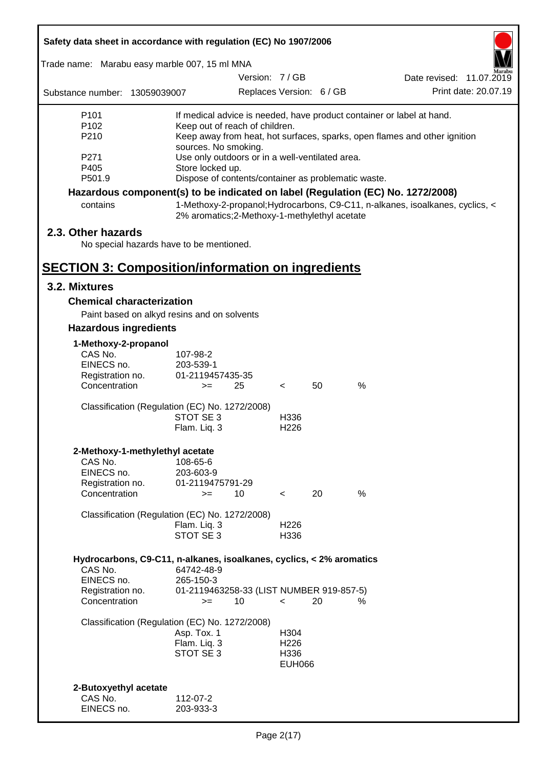| Safety data sheet in accordance with regulation (EC) No 1907/2006                             |                                                                                                                            |               |                                                   |                          |                                                                                                                                                    |
|-----------------------------------------------------------------------------------------------|----------------------------------------------------------------------------------------------------------------------------|---------------|---------------------------------------------------|--------------------------|----------------------------------------------------------------------------------------------------------------------------------------------------|
| Trade name: Marabu easy marble 007, 15 ml MNA                                                 |                                                                                                                            |               |                                                   |                          |                                                                                                                                                    |
|                                                                                               |                                                                                                                            | Version: 7/GB |                                                   |                          | Date revised: 11.07.2019                                                                                                                           |
| Substance number: 13059039007                                                                 |                                                                                                                            |               |                                                   | Replaces Version: 6 / GB | Print date: 20.07.19                                                                                                                               |
| P <sub>101</sub><br>P102<br>P210                                                              | Keep out of reach of children.<br>sources. No smoking.                                                                     |               |                                                   |                          | If medical advice is needed, have product container or label at hand.<br>Keep away from heat, hot surfaces, sparks, open flames and other ignition |
| P271<br>P405<br>P501.9                                                                        | Use only outdoors or in a well-ventilated area.<br>Store locked up.<br>Dispose of contents/container as problematic waste. |               |                                                   |                          |                                                                                                                                                    |
|                                                                                               |                                                                                                                            |               |                                                   |                          | Hazardous component(s) to be indicated on label (Regulation (EC) No. 1272/2008)                                                                    |
| contains                                                                                      | 2% aromatics;2-Methoxy-1-methylethyl acetate                                                                               |               |                                                   |                          | 1-Methoxy-2-propanol; Hydrocarbons, C9-C11, n-alkanes, isoalkanes, cyclics, <                                                                      |
| 2.3. Other hazards<br>No special hazards have to be mentioned.                                |                                                                                                                            |               |                                                   |                          |                                                                                                                                                    |
| <b>SECTION 3: Composition/information on ingredients</b>                                      |                                                                                                                            |               |                                                   |                          |                                                                                                                                                    |
| 3.2. Mixtures                                                                                 |                                                                                                                            |               |                                                   |                          |                                                                                                                                                    |
| <b>Chemical characterization</b><br>Paint based on alkyd resins and on solvents               |                                                                                                                            |               |                                                   |                          |                                                                                                                                                    |
| <b>Hazardous ingredients</b>                                                                  |                                                                                                                            |               |                                                   |                          |                                                                                                                                                    |
| 1-Methoxy-2-propanol<br>CAS No.<br>EINECS no.<br>Registration no.<br>Concentration            | 107-98-2<br>203-539-1<br>01-2119457435-35<br>$>=$                                                                          | 25            | $\lt$                                             | 50                       | %                                                                                                                                                  |
| Classification (Regulation (EC) No. 1272/2008)                                                | STOT SE 3<br>Flam. Liq. 3                                                                                                  |               | H336<br>H <sub>226</sub>                          |                          |                                                                                                                                                    |
| 2-Methoxy-1-methylethyl acetate<br>CAS No.<br>EINECS no.<br>Registration no.<br>Concentration | 108-65-6<br>203-603-9<br>01-2119475791-29<br>$>=$                                                                          | 10            | $\overline{\phantom{a}}$                          | 20                       | $\%$                                                                                                                                               |
| Classification (Regulation (EC) No. 1272/2008)                                                | Flam. Liq. 3<br>STOT SE 3                                                                                                  |               | H226<br>H336                                      |                          |                                                                                                                                                    |
| Hydrocarbons, C9-C11, n-alkanes, isoalkanes, cyclics, < 2% aromatics<br>CAS No.<br>EINECS no. | 64742-48-9<br>265-150-3                                                                                                    |               |                                                   |                          |                                                                                                                                                    |
| Registration no.<br>Concentration                                                             | 01-2119463258-33 (LIST NUMBER 919-857-5)<br>$>=$                                                                           | 10            | $\,<\,$                                           | 20                       | ℅                                                                                                                                                  |
| Classification (Regulation (EC) No. 1272/2008)                                                | Asp. Tox. 1<br>Flam. Liq. 3<br>STOT SE 3                                                                                   |               | H304<br>H <sub>226</sub><br>H336<br><b>EUH066</b> |                          |                                                                                                                                                    |
| 2-Butoxyethyl acetate<br>CAS No.<br>EINECS no.                                                | 112-07-2<br>203-933-3                                                                                                      |               |                                                   |                          |                                                                                                                                                    |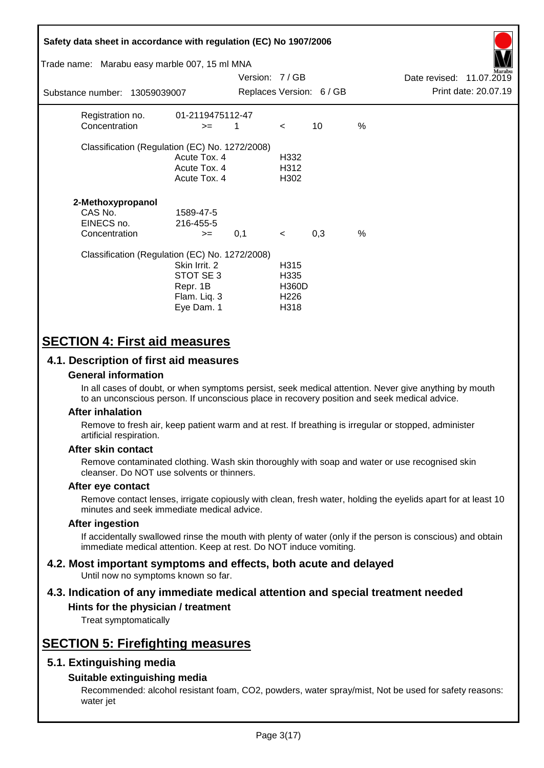| Safety data sheet in accordance with regulation (EC) No 1907/2006<br>Trade name: Marabu easy marble 007, 15 ml MNA<br>Substance number: 13059039007 |                                                                      | Version: 7/GB |                                                          | Replaces Version: 6 / GB |      | Date revised: 11.07.2019 | Print date: 20.07.19 |
|-----------------------------------------------------------------------------------------------------------------------------------------------------|----------------------------------------------------------------------|---------------|----------------------------------------------------------|--------------------------|------|--------------------------|----------------------|
|                                                                                                                                                     |                                                                      |               |                                                          |                          |      |                          |                      |
| Registration no.<br>Concentration                                                                                                                   | 01-2119475112-47<br>$>=$                                             | 1             | $\lt$                                                    | 10                       | %    |                          |                      |
| Classification (Regulation (EC) No. 1272/2008)                                                                                                      | Acute Tox. 4<br>Acute Tox. 4<br>Acute Tox. 4                         |               | H332<br>H312<br>H302                                     |                          |      |                          |                      |
| 2-Methoxypropanol<br>CAS No.<br>EINECS no.<br>Concentration                                                                                         | 1589-47-5<br>216-455-5<br>$>=$                                       | 0,1           | $\prec$                                                  | 0,3                      | $\%$ |                          |                      |
| Classification (Regulation (EC) No. 1272/2008)                                                                                                      | Skin Irrit. 2<br>STOT SE 3<br>Repr. 1B<br>Flam. Liq. 3<br>Eye Dam. 1 |               | H315<br>H335<br><b>H360D</b><br>H <sub>226</sub><br>H318 |                          |      |                          |                      |

# **SECTION 4: First aid measures**

#### **4.1. Description of first aid measures**

#### **General information**

In all cases of doubt, or when symptoms persist, seek medical attention. Never give anything by mouth to an unconscious person. If unconscious place in recovery position and seek medical advice.

#### **After inhalation**

Remove to fresh air, keep patient warm and at rest. If breathing is irregular or stopped, administer artificial respiration.

#### **After skin contact**

Remove contaminated clothing. Wash skin thoroughly with soap and water or use recognised skin cleanser. Do NOT use solvents or thinners.

#### **After eye contact**

Remove contact lenses, irrigate copiously with clean, fresh water, holding the eyelids apart for at least 10 minutes and seek immediate medical advice.

#### **After ingestion**

If accidentally swallowed rinse the mouth with plenty of water (only if the person is conscious) and obtain immediate medical attention. Keep at rest. Do NOT induce vomiting.

#### **4.2. Most important symptoms and effects, both acute and delayed** Until now no symptoms known so far.

# **4.3. Indication of any immediate medical attention and special treatment needed**

#### **Hints for the physician / treatment**

Treat symptomatically

# **SECTION 5: Firefighting measures**

#### **5.1. Extinguishing media**

#### **Suitable extinguishing media**

Recommended: alcohol resistant foam, CO2, powders, water spray/mist, Not be used for safety reasons: water jet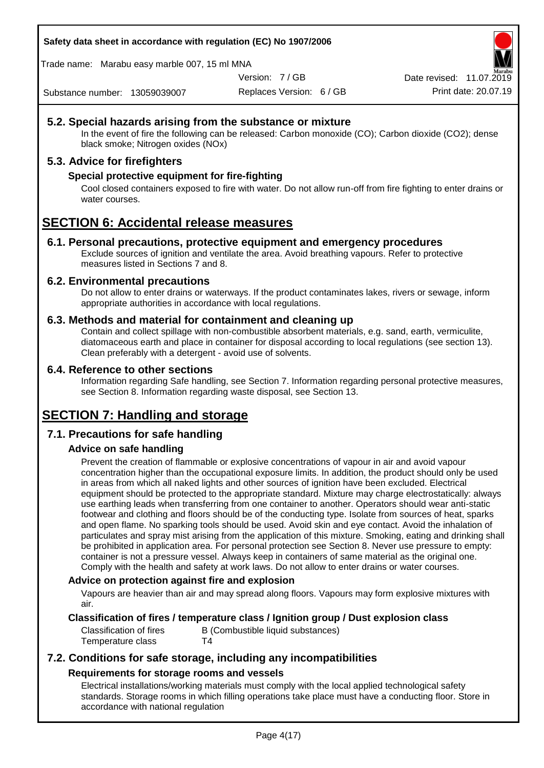**Safety data sheet in accordance with regulation (EC) No 1907/2006**

Trade name: Marabu easy marble 007, 15 ml MNA

Version: 7 / GB

Replaces Version: 6 / GB Print date: 20.07.19 Date revised: 11.07.2019

Substance number: 13059039007

#### **5.2. Special hazards arising from the substance or mixture**

In the event of fire the following can be released: Carbon monoxide (CO); Carbon dioxide (CO2); dense black smoke; Nitrogen oxides (NOx)

#### **5.3. Advice for firefighters**

#### **Special protective equipment for fire-fighting**

Cool closed containers exposed to fire with water. Do not allow run-off from fire fighting to enter drains or water courses.

# **SECTION 6: Accidental release measures**

#### **6.1. Personal precautions, protective equipment and emergency procedures**

Exclude sources of ignition and ventilate the area. Avoid breathing vapours. Refer to protective measures listed in Sections 7 and 8.

#### **6.2. Environmental precautions**

Do not allow to enter drains or waterways. If the product contaminates lakes, rivers or sewage, inform appropriate authorities in accordance with local regulations.

#### **6.3. Methods and material for containment and cleaning up**

Contain and collect spillage with non-combustible absorbent materials, e.g. sand, earth, vermiculite, diatomaceous earth and place in container for disposal according to local regulations (see section 13). Clean preferably with a detergent - avoid use of solvents.

#### **6.4. Reference to other sections**

Information regarding Safe handling, see Section 7. Information regarding personal protective measures, see Section 8. Information regarding waste disposal, see Section 13.

# **SECTION 7: Handling and storage**

#### **7.1. Precautions for safe handling**

#### **Advice on safe handling**

Prevent the creation of flammable or explosive concentrations of vapour in air and avoid vapour concentration higher than the occupational exposure limits. In addition, the product should only be used in areas from which all naked lights and other sources of ignition have been excluded. Electrical equipment should be protected to the appropriate standard. Mixture may charge electrostatically: always use earthing leads when transferring from one container to another. Operators should wear anti-static footwear and clothing and floors should be of the conducting type. Isolate from sources of heat, sparks and open flame. No sparking tools should be used. Avoid skin and eye contact. Avoid the inhalation of particulates and spray mist arising from the application of this mixture. Smoking, eating and drinking shall be prohibited in application area. For personal protection see Section 8. Never use pressure to empty: container is not a pressure vessel. Always keep in containers of same material as the original one. Comply with the health and safety at work laws. Do not allow to enter drains or water courses.

#### **Advice on protection against fire and explosion**

Vapours are heavier than air and may spread along floors. Vapours may form explosive mixtures with air.

#### **Classification of fires / temperature class / Ignition group / Dust explosion class**

Temperature class T4

Classification of fires B (Combustible liquid substances)

### **7.2. Conditions for safe storage, including any incompatibilities Requirements for storage rooms and vessels**

Electrical installations/working materials must comply with the local applied technological safety standards. Storage rooms in which filling operations take place must have a conducting floor. Store in accordance with national regulation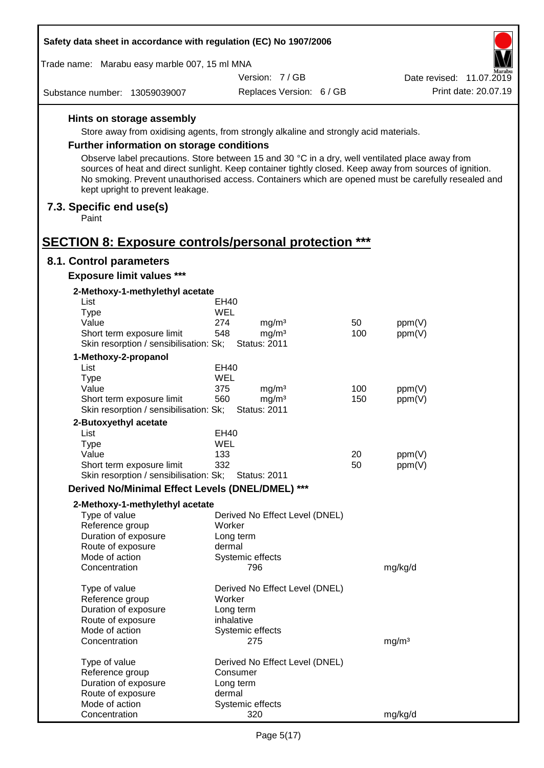| Safety data sheet in accordance with regulation (EC) No 1907/2006                                                                   |            |                                          |     |                                                                                                                                                                                                                |
|-------------------------------------------------------------------------------------------------------------------------------------|------------|------------------------------------------|-----|----------------------------------------------------------------------------------------------------------------------------------------------------------------------------------------------------------------|
| Trade name: Marabu easy marble 007, 15 ml MNA                                                                                       |            |                                          |     |                                                                                                                                                                                                                |
|                                                                                                                                     |            | Version: 7/GB                            |     | Date revised: 11.07.2019                                                                                                                                                                                       |
| Substance number: 13059039007                                                                                                       |            | Replaces Version: 6 / GB                 |     | Print date: 20.07.19                                                                                                                                                                                           |
| Hints on storage assembly                                                                                                           |            |                                          |     |                                                                                                                                                                                                                |
| Store away from oxidising agents, from strongly alkaline and strongly acid materials.                                               |            |                                          |     |                                                                                                                                                                                                                |
| <b>Further information on storage conditions</b>                                                                                    |            |                                          |     |                                                                                                                                                                                                                |
|                                                                                                                                     |            |                                          |     |                                                                                                                                                                                                                |
| Observe label precautions. Store between 15 and 30 °C in a dry, well ventilated place away from<br>kept upright to prevent leakage. |            |                                          |     | sources of heat and direct sunlight. Keep container tightly closed. Keep away from sources of ignition.<br>No smoking. Prevent unauthorised access. Containers which are opened must be carefully resealed and |
| 7.3. Specific end use(s)<br>Paint                                                                                                   |            |                                          |     |                                                                                                                                                                                                                |
| <b>SECTION 8: Exposure controls/personal protection ***</b>                                                                         |            |                                          |     |                                                                                                                                                                                                                |
| 8.1. Control parameters                                                                                                             |            |                                          |     |                                                                                                                                                                                                                |
| <b>Exposure limit values ***</b>                                                                                                    |            |                                          |     |                                                                                                                                                                                                                |
| 2-Methoxy-1-methylethyl acetate<br>List                                                                                             |            |                                          |     |                                                                                                                                                                                                                |
| <b>Type</b>                                                                                                                         | <b>WEL</b> | EH40                                     |     |                                                                                                                                                                                                                |
| Value                                                                                                                               | 274        | mg/m <sup>3</sup>                        | 50  | ppm(V)                                                                                                                                                                                                         |
| Short term exposure limit                                                                                                           | 548        | mg/m <sup>3</sup>                        | 100 | ppm(V)                                                                                                                                                                                                         |
| Skin resorption / sensibilisation: Sk;                                                                                              |            | <b>Status: 2011</b>                      |     |                                                                                                                                                                                                                |
| 1-Methoxy-2-propanol                                                                                                                |            |                                          |     |                                                                                                                                                                                                                |
| List                                                                                                                                |            | <b>EH40</b>                              |     |                                                                                                                                                                                                                |
| <b>Type</b>                                                                                                                         | WEL        |                                          |     |                                                                                                                                                                                                                |
| Value                                                                                                                               | 375        | mg/m <sup>3</sup>                        | 100 | ppm(V)                                                                                                                                                                                                         |
| Short term exposure limit<br>Skin resorption / sensibilisation: Sk;                                                                 | 560        | mg/m <sup>3</sup><br><b>Status: 2011</b> | 150 | ppm(V)                                                                                                                                                                                                         |
| 2-Butoxyethyl acetate                                                                                                               |            |                                          |     |                                                                                                                                                                                                                |
| List                                                                                                                                |            | EH40                                     |     |                                                                                                                                                                                                                |
| <b>Type</b>                                                                                                                         | WEL        |                                          |     |                                                                                                                                                                                                                |
| Value                                                                                                                               | 133        |                                          | 20  | ppm(V)                                                                                                                                                                                                         |
| Short term exposure limit                                                                                                           | 332        | <b>Status: 2011</b>                      | 50  | ppm(V)                                                                                                                                                                                                         |
| Skin resorption / sensibilisation: Sk;                                                                                              |            |                                          |     |                                                                                                                                                                                                                |
| Derived No/Minimal Effect Levels (DNEL/DMEL) ***                                                                                    |            |                                          |     |                                                                                                                                                                                                                |
| 2-Methoxy-1-methylethyl acetate                                                                                                     |            |                                          |     |                                                                                                                                                                                                                |
| Type of value                                                                                                                       |            | Derived No Effect Level (DNEL)           |     |                                                                                                                                                                                                                |
| Reference group                                                                                                                     |            | Worker                                   |     |                                                                                                                                                                                                                |
| Duration of exposure                                                                                                                |            | Long term                                |     |                                                                                                                                                                                                                |
| Route of exposure<br>Mode of action                                                                                                 |            | dermal<br>Systemic effects               |     |                                                                                                                                                                                                                |
| Concentration                                                                                                                       |            | 796                                      |     | mg/kg/d                                                                                                                                                                                                        |
| Type of value                                                                                                                       |            | Derived No Effect Level (DNEL)           |     |                                                                                                                                                                                                                |
| Reference group                                                                                                                     |            | Worker                                   |     |                                                                                                                                                                                                                |
| Duration of exposure                                                                                                                |            | Long term                                |     |                                                                                                                                                                                                                |
| Route of exposure                                                                                                                   |            | inhalative                               |     |                                                                                                                                                                                                                |
| Mode of action<br>Concentration                                                                                                     |            | Systemic effects<br>275                  |     | mg/m <sup>3</sup>                                                                                                                                                                                              |
|                                                                                                                                     |            |                                          |     |                                                                                                                                                                                                                |
| Type of value                                                                                                                       |            | Derived No Effect Level (DNEL)           |     |                                                                                                                                                                                                                |
| Reference group                                                                                                                     |            | Consumer                                 |     |                                                                                                                                                                                                                |
| Duration of exposure                                                                                                                |            | Long term<br>dermal                      |     |                                                                                                                                                                                                                |
| Route of exposure<br>Mode of action                                                                                                 |            | Systemic effects                         |     |                                                                                                                                                                                                                |
| Concentration                                                                                                                       |            | 320                                      |     | mg/kg/d                                                                                                                                                                                                        |

 $\overline{a}$ 

 $\Gamma$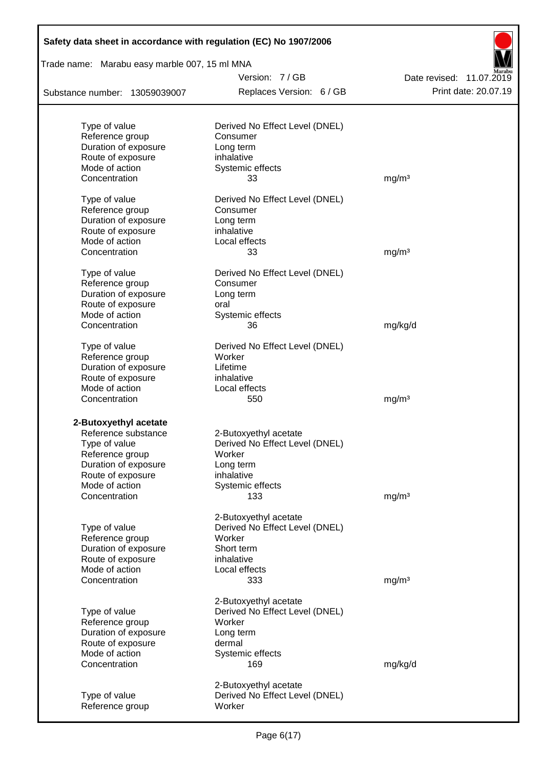| Safety data sheet in accordance with regulation (EC) No 1907/2006 |                                |                          |  |  |  |
|-------------------------------------------------------------------|--------------------------------|--------------------------|--|--|--|
| Trade name: Marabu easy marble 007, 15 ml MNA                     |                                |                          |  |  |  |
|                                                                   | Version: 7/GB                  | Date revised: 11.07.2019 |  |  |  |
| Substance number: 13059039007                                     | Replaces Version: 6 / GB       | Print date: 20.07.19     |  |  |  |
| Type of value                                                     | Derived No Effect Level (DNEL) |                          |  |  |  |
| Reference group                                                   | Consumer                       |                          |  |  |  |
| Duration of exposure                                              | Long term                      |                          |  |  |  |
| Route of exposure                                                 | inhalative                     |                          |  |  |  |
| Mode of action                                                    | Systemic effects               |                          |  |  |  |
| Concentration                                                     | 33                             | mg/m <sup>3</sup>        |  |  |  |
| Type of value                                                     | Derived No Effect Level (DNEL) |                          |  |  |  |
| Reference group                                                   | Consumer                       |                          |  |  |  |
| Duration of exposure                                              | Long term                      |                          |  |  |  |
| Route of exposure                                                 | inhalative                     |                          |  |  |  |
| Mode of action                                                    | Local effects                  |                          |  |  |  |
| Concentration                                                     | 33                             | mg/m <sup>3</sup>        |  |  |  |
| Type of value                                                     | Derived No Effect Level (DNEL) |                          |  |  |  |
| Reference group                                                   | Consumer                       |                          |  |  |  |
| Duration of exposure                                              | Long term                      |                          |  |  |  |
| Route of exposure                                                 | oral                           |                          |  |  |  |
| Mode of action                                                    | Systemic effects               |                          |  |  |  |
| Concentration                                                     | 36                             | mg/kg/d                  |  |  |  |
| Type of value                                                     | Derived No Effect Level (DNEL) |                          |  |  |  |
| Reference group                                                   | Worker                         |                          |  |  |  |
| Duration of exposure                                              | Lifetime                       |                          |  |  |  |
| Route of exposure                                                 | inhalative                     |                          |  |  |  |
| Mode of action<br>Concentration                                   | Local effects<br>550           | mg/m <sup>3</sup>        |  |  |  |
|                                                                   |                                |                          |  |  |  |
| 2-Butoxyethyl acetate<br>Reference substance                      | 2-Butoxyethyl acetate          |                          |  |  |  |
| Type of value                                                     | Derived No Effect Level (DNEL) |                          |  |  |  |
| Reference group                                                   | Worker                         |                          |  |  |  |
| Duration of exposure                                              | Long term                      |                          |  |  |  |
| Route of exposure                                                 | inhalative                     |                          |  |  |  |
| Mode of action                                                    | Systemic effects               |                          |  |  |  |
| Concentration                                                     | 133                            | mg/m <sup>3</sup>        |  |  |  |
|                                                                   | 2-Butoxyethyl acetate          |                          |  |  |  |
| Type of value                                                     | Derived No Effect Level (DNEL) |                          |  |  |  |
| Reference group                                                   | Worker                         |                          |  |  |  |
| Duration of exposure                                              | Short term                     |                          |  |  |  |
| Route of exposure                                                 | inhalative                     |                          |  |  |  |
| Mode of action                                                    | Local effects                  |                          |  |  |  |
| Concentration                                                     | 333                            | mg/m <sup>3</sup>        |  |  |  |
|                                                                   | 2-Butoxyethyl acetate          |                          |  |  |  |
| Type of value                                                     | Derived No Effect Level (DNEL) |                          |  |  |  |
| Reference group                                                   | Worker                         |                          |  |  |  |
| Duration of exposure                                              | Long term                      |                          |  |  |  |
| Route of exposure                                                 | dermal                         |                          |  |  |  |
| Mode of action                                                    | Systemic effects               |                          |  |  |  |
| Concentration                                                     | 169                            | mg/kg/d                  |  |  |  |
|                                                                   | 2-Butoxyethyl acetate          |                          |  |  |  |
| Type of value                                                     | Derived No Effect Level (DNEL) |                          |  |  |  |
| Reference group                                                   | Worker                         |                          |  |  |  |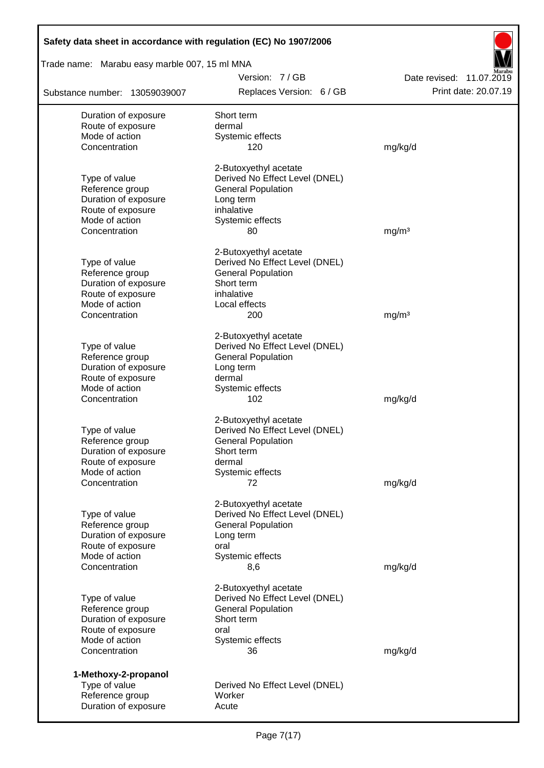| Safety data sheet in accordance with regulation (EC) No 1907/2006 |                                                             |                          |
|-------------------------------------------------------------------|-------------------------------------------------------------|--------------------------|
| Trade name: Marabu easy marble 007, 15 ml MNA                     |                                                             |                          |
|                                                                   | Version: 7/GB                                               | Date revised: 11.07.2019 |
| Substance number: 13059039007                                     | Replaces Version: 6 / GB                                    | Print date: 20.07.19     |
| Duration of exposure                                              | Short term                                                  |                          |
| Route of exposure                                                 | dermal                                                      |                          |
| Mode of action                                                    | Systemic effects                                            |                          |
| Concentration                                                     | 120                                                         | mg/kg/d                  |
|                                                                   | 2-Butoxyethyl acetate                                       |                          |
| Type of value                                                     | Derived No Effect Level (DNEL)                              |                          |
| Reference group<br>Duration of exposure                           | <b>General Population</b><br>Long term                      |                          |
| Route of exposure                                                 | inhalative                                                  |                          |
| Mode of action                                                    | Systemic effects                                            |                          |
| Concentration                                                     | 80                                                          | mg/m <sup>3</sup>        |
|                                                                   |                                                             |                          |
|                                                                   | 2-Butoxyethyl acetate                                       |                          |
| Type of value<br>Reference group                                  | Derived No Effect Level (DNEL)<br><b>General Population</b> |                          |
| Duration of exposure                                              | Short term                                                  |                          |
| Route of exposure                                                 | inhalative                                                  |                          |
| Mode of action                                                    | Local effects                                               |                          |
| Concentration                                                     | 200                                                         | mg/m <sup>3</sup>        |
|                                                                   |                                                             |                          |
|                                                                   | 2-Butoxyethyl acetate                                       |                          |
| Type of value                                                     | Derived No Effect Level (DNEL)                              |                          |
| Reference group                                                   | <b>General Population</b>                                   |                          |
| Duration of exposure<br>Route of exposure                         | Long term<br>dermal                                         |                          |
| Mode of action                                                    | Systemic effects                                            |                          |
| Concentration                                                     | 102                                                         | mg/kg/d                  |
|                                                                   | 2-Butoxyethyl acetate                                       |                          |
| Type of value                                                     | Derived No Effect Level (DNEL)                              |                          |
| Reference group                                                   | <b>General Population</b>                                   |                          |
| Duration of exposure                                              | Short term                                                  |                          |
| Route of exposure                                                 | dermal                                                      |                          |
| Mode of action                                                    | Systemic effects                                            |                          |
| Concentration                                                     | 72                                                          | mg/kg/d                  |
|                                                                   | 2-Butoxyethyl acetate                                       |                          |
| Type of value                                                     | Derived No Effect Level (DNEL)                              |                          |
| Reference group                                                   | <b>General Population</b>                                   |                          |
| Duration of exposure                                              | Long term                                                   |                          |
| Route of exposure                                                 | oral                                                        |                          |
| Mode of action                                                    | Systemic effects                                            |                          |
| Concentration                                                     | 8,6                                                         | mg/kg/d                  |
|                                                                   | 2-Butoxyethyl acetate                                       |                          |
| Type of value                                                     | Derived No Effect Level (DNEL)                              |                          |
| Reference group                                                   | <b>General Population</b>                                   |                          |
| Duration of exposure                                              | Short term                                                  |                          |
| Route of exposure                                                 | oral                                                        |                          |
| Mode of action                                                    | Systemic effects                                            |                          |
| Concentration                                                     | 36                                                          | mg/kg/d                  |
| 1-Methoxy-2-propanol                                              |                                                             |                          |
| Type of value                                                     | Derived No Effect Level (DNEL)                              |                          |
| Reference group                                                   | Worker                                                      |                          |
| Duration of exposure                                              | Acute                                                       |                          |

Г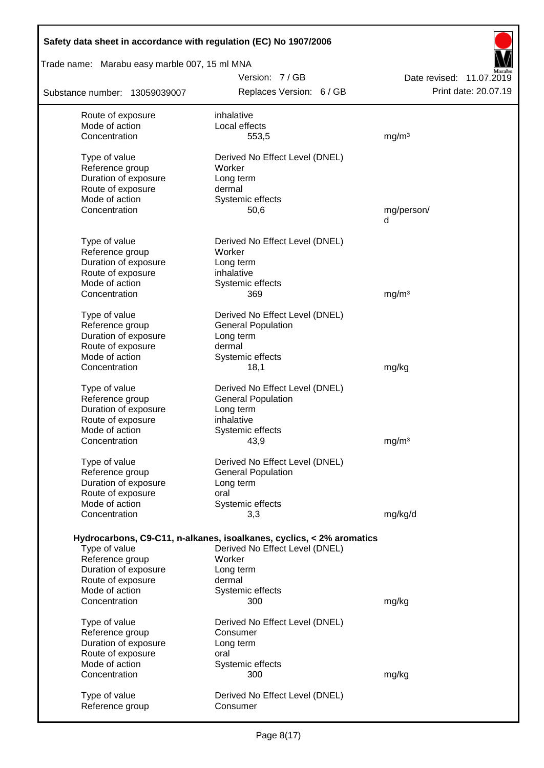| Safety data sheet in accordance with regulation (EC) No 1907/2006 |                                                                                                        |                          |  |  |  |
|-------------------------------------------------------------------|--------------------------------------------------------------------------------------------------------|--------------------------|--|--|--|
| Trade name: Marabu easy marble 007, 15 ml MNA                     |                                                                                                        |                          |  |  |  |
|                                                                   | Version: 7/GB                                                                                          | Date revised: 11.07.2019 |  |  |  |
| Substance number: 13059039007                                     | Replaces Version: 6 / GB                                                                               | Print date: 20.07.19     |  |  |  |
| Route of exposure                                                 | inhalative                                                                                             |                          |  |  |  |
| Mode of action                                                    | Local effects                                                                                          |                          |  |  |  |
| Concentration                                                     | 553,5                                                                                                  | mg/m <sup>3</sup>        |  |  |  |
| Type of value                                                     | Derived No Effect Level (DNEL)                                                                         |                          |  |  |  |
| Reference group                                                   | Worker                                                                                                 |                          |  |  |  |
| Duration of exposure                                              | Long term                                                                                              |                          |  |  |  |
| Route of exposure                                                 | dermal                                                                                                 |                          |  |  |  |
| Mode of action<br>Concentration                                   | Systemic effects                                                                                       |                          |  |  |  |
|                                                                   | 50,6                                                                                                   | mg/person/<br>d          |  |  |  |
|                                                                   |                                                                                                        |                          |  |  |  |
| Type of value                                                     | Derived No Effect Level (DNEL)                                                                         |                          |  |  |  |
| Reference group                                                   | Worker                                                                                                 |                          |  |  |  |
| Duration of exposure<br>Route of exposure                         | Long term<br>inhalative                                                                                |                          |  |  |  |
| Mode of action                                                    | Systemic effects                                                                                       |                          |  |  |  |
| Concentration                                                     | 369                                                                                                    | mg/m <sup>3</sup>        |  |  |  |
|                                                                   |                                                                                                        |                          |  |  |  |
| Type of value                                                     | Derived No Effect Level (DNEL)                                                                         |                          |  |  |  |
| Reference group                                                   | <b>General Population</b>                                                                              |                          |  |  |  |
| Duration of exposure                                              | Long term<br>dermal                                                                                    |                          |  |  |  |
| Route of exposure<br>Mode of action                               | Systemic effects                                                                                       |                          |  |  |  |
| Concentration                                                     | 18,1                                                                                                   | mg/kg                    |  |  |  |
|                                                                   |                                                                                                        |                          |  |  |  |
| Type of value                                                     | Derived No Effect Level (DNEL)                                                                         |                          |  |  |  |
| Reference group<br>Duration of exposure                           | <b>General Population</b><br>Long term                                                                 |                          |  |  |  |
| Route of exposure                                                 | inhalative                                                                                             |                          |  |  |  |
| Mode of action                                                    | Systemic effects                                                                                       |                          |  |  |  |
| Concentration                                                     | 43,9                                                                                                   | mg/m <sup>3</sup>        |  |  |  |
| Type of value                                                     | Derived No Effect Level (DNEL)                                                                         |                          |  |  |  |
| Reference group                                                   | <b>General Population</b>                                                                              |                          |  |  |  |
| Duration of exposure                                              | Long term                                                                                              |                          |  |  |  |
| Route of exposure                                                 | oral                                                                                                   |                          |  |  |  |
| Mode of action                                                    | Systemic effects                                                                                       |                          |  |  |  |
| Concentration                                                     | 3,3                                                                                                    | mg/kg/d                  |  |  |  |
|                                                                   |                                                                                                        |                          |  |  |  |
| Type of value                                                     | Hydrocarbons, C9-C11, n-alkanes, isoalkanes, cyclics, < 2% aromatics<br>Derived No Effect Level (DNEL) |                          |  |  |  |
| Reference group                                                   | Worker                                                                                                 |                          |  |  |  |
| Duration of exposure                                              | Long term                                                                                              |                          |  |  |  |
| Route of exposure                                                 | dermal                                                                                                 |                          |  |  |  |
| Mode of action                                                    | Systemic effects                                                                                       |                          |  |  |  |
| Concentration                                                     | 300                                                                                                    | mg/kg                    |  |  |  |
| Type of value                                                     | Derived No Effect Level (DNEL)                                                                         |                          |  |  |  |
| Reference group                                                   | Consumer                                                                                               |                          |  |  |  |
| Duration of exposure                                              | Long term                                                                                              |                          |  |  |  |
| Route of exposure                                                 | oral                                                                                                   |                          |  |  |  |
| Mode of action                                                    | Systemic effects                                                                                       |                          |  |  |  |
| Concentration                                                     | 300                                                                                                    | mg/kg                    |  |  |  |
| Type of value                                                     | Derived No Effect Level (DNEL)                                                                         |                          |  |  |  |
| Reference group                                                   | Consumer                                                                                               |                          |  |  |  |
|                                                                   |                                                                                                        |                          |  |  |  |

 $\overline{\phantom{a}}$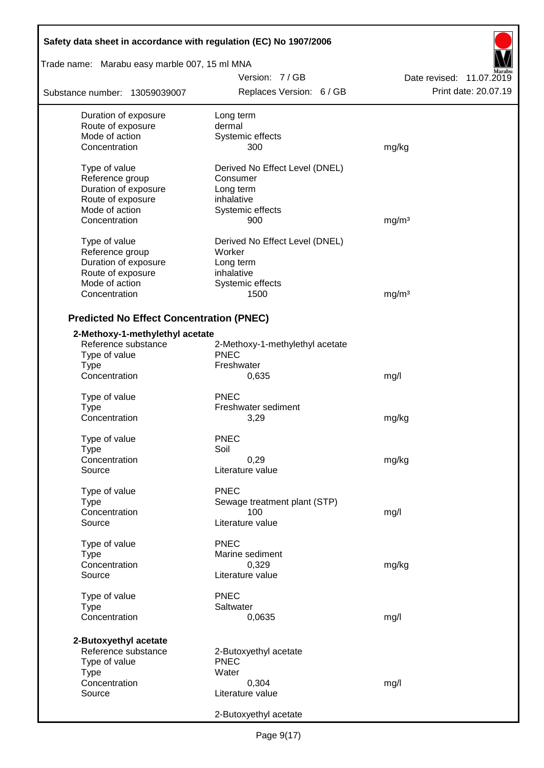| Safety data sheet in accordance with regulation (EC) No 1907/2006 |                                 |                          |
|-------------------------------------------------------------------|---------------------------------|--------------------------|
| Trade name: Marabu easy marble 007, 15 ml MNA                     |                                 |                          |
|                                                                   | Version: 7/GB                   | Date revised: 11.07.2019 |
| Substance number: 13059039007                                     | Replaces Version: 6 / GB        | Print date: 20.07.19     |
| Duration of exposure                                              | Long term                       |                          |
| Route of exposure                                                 | dermal                          |                          |
| Mode of action                                                    | Systemic effects                |                          |
| Concentration                                                     | 300                             | mg/kg                    |
| Type of value                                                     | Derived No Effect Level (DNEL)  |                          |
| Reference group                                                   | Consumer                        |                          |
| Duration of exposure                                              | Long term                       |                          |
| Route of exposure                                                 | inhalative                      |                          |
| Mode of action                                                    | Systemic effects                |                          |
| Concentration                                                     | 900                             | mg/m <sup>3</sup>        |
| Type of value                                                     | Derived No Effect Level (DNEL)  |                          |
| Reference group                                                   | Worker                          |                          |
| Duration of exposure                                              | Long term                       |                          |
| Route of exposure                                                 | inhalative                      |                          |
| Mode of action                                                    | Systemic effects                |                          |
| Concentration                                                     | 1500                            | mg/m <sup>3</sup>        |
| <b>Predicted No Effect Concentration (PNEC)</b>                   |                                 |                          |
| 2-Methoxy-1-methylethyl acetate                                   |                                 |                          |
| Reference substance                                               | 2-Methoxy-1-methylethyl acetate |                          |
| Type of value                                                     | <b>PNEC</b>                     |                          |
| <b>Type</b>                                                       | Freshwater                      |                          |
| Concentration                                                     | 0,635                           |                          |
|                                                                   |                                 | mg/l                     |
| Type of value                                                     | <b>PNEC</b>                     |                          |
| <b>Type</b>                                                       | Freshwater sediment             |                          |
| Concentration                                                     | 3,29                            | mg/kg                    |
| Type of value                                                     | <b>PNEC</b>                     |                          |
| Type                                                              | Soil                            |                          |
| Concentration                                                     | 0,29                            | mg/kg                    |
| Source                                                            | Literature value                |                          |
| Type of value                                                     | <b>PNEC</b>                     |                          |
| <b>Type</b>                                                       | Sewage treatment plant (STP)    |                          |
| Concentration                                                     | 100                             | mg/l                     |
| Source                                                            | Literature value                |                          |
| Type of value                                                     | <b>PNEC</b>                     |                          |
| Type                                                              | Marine sediment                 |                          |
| Concentration                                                     | 0,329                           | mg/kg                    |
| Source                                                            | Literature value                |                          |
| Type of value                                                     | <b>PNEC</b>                     |                          |
| <b>Type</b>                                                       | Saltwater                       |                          |
| Concentration                                                     | 0,0635                          | mg/l                     |
|                                                                   |                                 |                          |
| 2-Butoxyethyl acetate                                             |                                 |                          |
| Reference substance                                               | 2-Butoxyethyl acetate           |                          |
| Type of value                                                     | <b>PNEC</b>                     |                          |
| <b>Type</b>                                                       | Water                           |                          |
| Concentration                                                     | 0,304                           | mg/l                     |
| Source                                                            | Literature value                |                          |
|                                                                   | 2-Butoxyethyl acetate           |                          |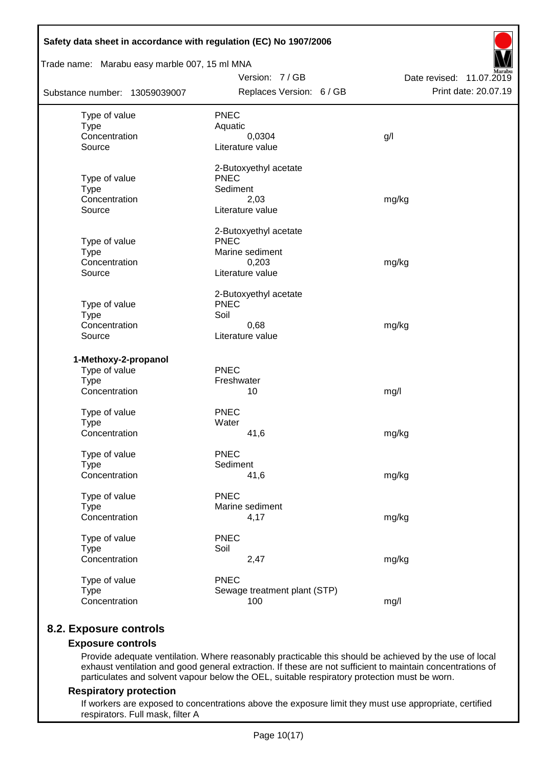| Trade name: Marabu easy marble 007, 15 ml MNA |                                      |                          |
|-----------------------------------------------|--------------------------------------|--------------------------|
|                                               | Version: 7/GB                        | Date revised: 11.07.2019 |
| Substance number: 13059039007                 | Replaces Version: 6 / GB             | Print date: 20.07.19     |
| Type of value                                 | <b>PNEC</b>                          |                          |
| <b>Type</b>                                   | Aquatic                              |                          |
| Concentration                                 | 0,0304                               | g/l                      |
| Source                                        | Literature value                     |                          |
|                                               | 2-Butoxyethyl acetate                |                          |
| Type of value                                 | <b>PNEC</b>                          |                          |
| <b>Type</b><br>Concentration                  | Sediment                             |                          |
| Source                                        | 2,03<br>Literature value             | mg/kg                    |
|                                               |                                      |                          |
|                                               | 2-Butoxyethyl acetate<br><b>PNEC</b> |                          |
| Type of value<br><b>Type</b>                  | Marine sediment                      |                          |
| Concentration                                 | 0,203                                | mg/kg                    |
| Source                                        | Literature value                     |                          |
|                                               | 2-Butoxyethyl acetate                |                          |
| Type of value                                 | <b>PNEC</b>                          |                          |
| <b>Type</b>                                   | Soil                                 |                          |
| Concentration                                 | 0,68                                 | mg/kg                    |
| Source                                        | Literature value                     |                          |
| 1-Methoxy-2-propanol                          |                                      |                          |
| Type of value                                 | <b>PNEC</b>                          |                          |
| <b>Type</b>                                   | Freshwater                           |                          |
| Concentration                                 | 10                                   | mg/l                     |
| Type of value                                 | <b>PNEC</b>                          |                          |
| <b>Type</b>                                   | Water                                |                          |
| Concentration                                 | 41,6                                 | mg/kg                    |
| Type of value                                 | <b>PNEC</b>                          |                          |
| <b>Type</b>                                   | Sediment                             |                          |
| Concentration                                 | 41,6                                 | mg/kg                    |
| Type of value                                 | <b>PNEC</b>                          |                          |
| <b>Type</b>                                   | Marine sediment                      |                          |
| Concentration                                 | 4,17                                 | mg/kg                    |
| Type of value                                 | <b>PNEC</b>                          |                          |
| <b>Type</b>                                   | Soil                                 |                          |
| Concentration                                 | 2,47                                 | mg/kg                    |
| Type of value                                 | <b>PNEC</b>                          |                          |
| <b>Type</b>                                   | Sewage treatment plant (STP)         |                          |
| Concentration                                 | 100                                  | mg/l                     |

# **8.2. Exposure controls**

#### **Exposure controls**

Provide adequate ventilation. Where reasonably practicable this should be achieved by the use of local exhaust ventilation and good general extraction. If these are not sufficient to maintain concentrations of particulates and solvent vapour below the OEL, suitable respiratory protection must be worn.

#### **Respiratory protection**

If workers are exposed to concentrations above the exposure limit they must use appropriate, certified respirators. Full mask, filter A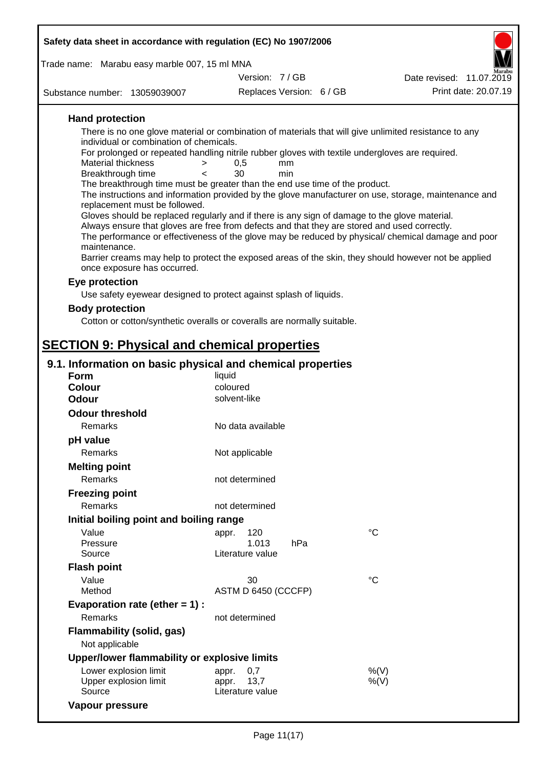| Safety data sheet in accordance with regulation (EC) No 1907/2006                                                                                                                                                                                                                                                                                                                                                                                                                                                                                                                                                                                                                                                                           |                                                   |                          |                                                                                                                                                                                                                                                                                                                    |  |
|---------------------------------------------------------------------------------------------------------------------------------------------------------------------------------------------------------------------------------------------------------------------------------------------------------------------------------------------------------------------------------------------------------------------------------------------------------------------------------------------------------------------------------------------------------------------------------------------------------------------------------------------------------------------------------------------------------------------------------------------|---------------------------------------------------|--------------------------|--------------------------------------------------------------------------------------------------------------------------------------------------------------------------------------------------------------------------------------------------------------------------------------------------------------------|--|
| Trade name: Marabu easy marble 007, 15 ml MNA                                                                                                                                                                                                                                                                                                                                                                                                                                                                                                                                                                                                                                                                                               |                                                   |                          |                                                                                                                                                                                                                                                                                                                    |  |
|                                                                                                                                                                                                                                                                                                                                                                                                                                                                                                                                                                                                                                                                                                                                             | Version: 7/GB                                     |                          | Date revised: 11.07.2019                                                                                                                                                                                                                                                                                           |  |
| Substance number: 13059039007                                                                                                                                                                                                                                                                                                                                                                                                                                                                                                                                                                                                                                                                                                               |                                                   | Replaces Version: 6 / GB | Print date: 20.07.19                                                                                                                                                                                                                                                                                               |  |
| <b>Hand protection</b><br>There is no one glove material or combination of materials that will give unlimited resistance to any<br>individual or combination of chemicals.<br>For prolonged or repeated handling nitrile rubber gloves with textile undergloves are required.<br>Material thickness<br>><br>Breakthrough time<br>$\overline{\phantom{0}}$<br>The breakthrough time must be greater than the end use time of the product.<br>replacement must be followed.<br>Gloves should be replaced regularly and if there is any sign of damage to the glove material.<br>Always ensure that gloves are free from defects and that they are stored and used correctly.<br>maintenance.<br>once exposure has occurred.<br>Eye protection | 0,5<br>30                                         | mm<br>min                | The instructions and information provided by the glove manufacturer on use, storage, maintenance and<br>The performance or effectiveness of the glove may be reduced by physical/ chemical damage and poor<br>Barrier creams may help to protect the exposed areas of the skin, they should however not be applied |  |
| Use safety eyewear designed to protect against splash of liquids.                                                                                                                                                                                                                                                                                                                                                                                                                                                                                                                                                                                                                                                                           |                                                   |                          |                                                                                                                                                                                                                                                                                                                    |  |
| <b>Body protection</b>                                                                                                                                                                                                                                                                                                                                                                                                                                                                                                                                                                                                                                                                                                                      |                                                   |                          |                                                                                                                                                                                                                                                                                                                    |  |
| Cotton or cotton/synthetic overalls or coveralls are normally suitable.                                                                                                                                                                                                                                                                                                                                                                                                                                                                                                                                                                                                                                                                     |                                                   |                          |                                                                                                                                                                                                                                                                                                                    |  |
| <b>SECTION 9: Physical and chemical properties</b>                                                                                                                                                                                                                                                                                                                                                                                                                                                                                                                                                                                                                                                                                          |                                                   |                          |                                                                                                                                                                                                                                                                                                                    |  |
|                                                                                                                                                                                                                                                                                                                                                                                                                                                                                                                                                                                                                                                                                                                                             |                                                   |                          |                                                                                                                                                                                                                                                                                                                    |  |
| 9.1. Information on basic physical and chemical properties<br><b>Form</b>                                                                                                                                                                                                                                                                                                                                                                                                                                                                                                                                                                                                                                                                   | liquid                                            |                          |                                                                                                                                                                                                                                                                                                                    |  |
| <b>Colour</b>                                                                                                                                                                                                                                                                                                                                                                                                                                                                                                                                                                                                                                                                                                                               | coloured                                          |                          |                                                                                                                                                                                                                                                                                                                    |  |
| Odour                                                                                                                                                                                                                                                                                                                                                                                                                                                                                                                                                                                                                                                                                                                                       | solvent-like                                      |                          |                                                                                                                                                                                                                                                                                                                    |  |
| <b>Odour threshold</b>                                                                                                                                                                                                                                                                                                                                                                                                                                                                                                                                                                                                                                                                                                                      |                                                   |                          |                                                                                                                                                                                                                                                                                                                    |  |
| Remarks                                                                                                                                                                                                                                                                                                                                                                                                                                                                                                                                                                                                                                                                                                                                     | No data available                                 |                          |                                                                                                                                                                                                                                                                                                                    |  |
| pH value                                                                                                                                                                                                                                                                                                                                                                                                                                                                                                                                                                                                                                                                                                                                    |                                                   |                          |                                                                                                                                                                                                                                                                                                                    |  |
| <b>Remarks</b>                                                                                                                                                                                                                                                                                                                                                                                                                                                                                                                                                                                                                                                                                                                              | Not applicable                                    |                          |                                                                                                                                                                                                                                                                                                                    |  |
| <b>Melting point</b>                                                                                                                                                                                                                                                                                                                                                                                                                                                                                                                                                                                                                                                                                                                        |                                                   |                          |                                                                                                                                                                                                                                                                                                                    |  |
| Remarks                                                                                                                                                                                                                                                                                                                                                                                                                                                                                                                                                                                                                                                                                                                                     | not determined                                    |                          |                                                                                                                                                                                                                                                                                                                    |  |
| <b>Freezing point</b>                                                                                                                                                                                                                                                                                                                                                                                                                                                                                                                                                                                                                                                                                                                       |                                                   |                          |                                                                                                                                                                                                                                                                                                                    |  |
| Remarks                                                                                                                                                                                                                                                                                                                                                                                                                                                                                                                                                                                                                                                                                                                                     | not determined                                    |                          |                                                                                                                                                                                                                                                                                                                    |  |
| Initial boiling point and boiling range                                                                                                                                                                                                                                                                                                                                                                                                                                                                                                                                                                                                                                                                                                     |                                                   |                          |                                                                                                                                                                                                                                                                                                                    |  |
| Value                                                                                                                                                                                                                                                                                                                                                                                                                                                                                                                                                                                                                                                                                                                                       | 120<br>appr.                                      |                          | $^{\circ}C$                                                                                                                                                                                                                                                                                                        |  |
| Pressure                                                                                                                                                                                                                                                                                                                                                                                                                                                                                                                                                                                                                                                                                                                                    | 1.013                                             | hPa                      |                                                                                                                                                                                                                                                                                                                    |  |
| Source                                                                                                                                                                                                                                                                                                                                                                                                                                                                                                                                                                                                                                                                                                                                      | Literature value                                  |                          |                                                                                                                                                                                                                                                                                                                    |  |
| <b>Flash point</b>                                                                                                                                                                                                                                                                                                                                                                                                                                                                                                                                                                                                                                                                                                                          |                                                   |                          |                                                                                                                                                                                                                                                                                                                    |  |
| Value<br>Method                                                                                                                                                                                                                                                                                                                                                                                                                                                                                                                                                                                                                                                                                                                             | 30<br>ASTM D 6450 (CCCFP)                         |                          | $^{\circ}C$                                                                                                                                                                                                                                                                                                        |  |
| Evaporation rate (ether $= 1$ ) :                                                                                                                                                                                                                                                                                                                                                                                                                                                                                                                                                                                                                                                                                                           |                                                   |                          |                                                                                                                                                                                                                                                                                                                    |  |
| Remarks                                                                                                                                                                                                                                                                                                                                                                                                                                                                                                                                                                                                                                                                                                                                     | not determined                                    |                          |                                                                                                                                                                                                                                                                                                                    |  |
| Flammability (solid, gas)<br>Not applicable                                                                                                                                                                                                                                                                                                                                                                                                                                                                                                                                                                                                                                                                                                 |                                                   |                          |                                                                                                                                                                                                                                                                                                                    |  |
| Upper/lower flammability or explosive limits                                                                                                                                                                                                                                                                                                                                                                                                                                                                                                                                                                                                                                                                                                |                                                   |                          |                                                                                                                                                                                                                                                                                                                    |  |
| Lower explosion limit<br>Upper explosion limit<br>Source                                                                                                                                                                                                                                                                                                                                                                                                                                                                                                                                                                                                                                                                                    | 0,7<br>appr.<br>13,7<br>appr.<br>Literature value |                          | %(V)<br>$%$ (V)                                                                                                                                                                                                                                                                                                    |  |
| Vapour pressure                                                                                                                                                                                                                                                                                                                                                                                                                                                                                                                                                                                                                                                                                                                             |                                                   |                          |                                                                                                                                                                                                                                                                                                                    |  |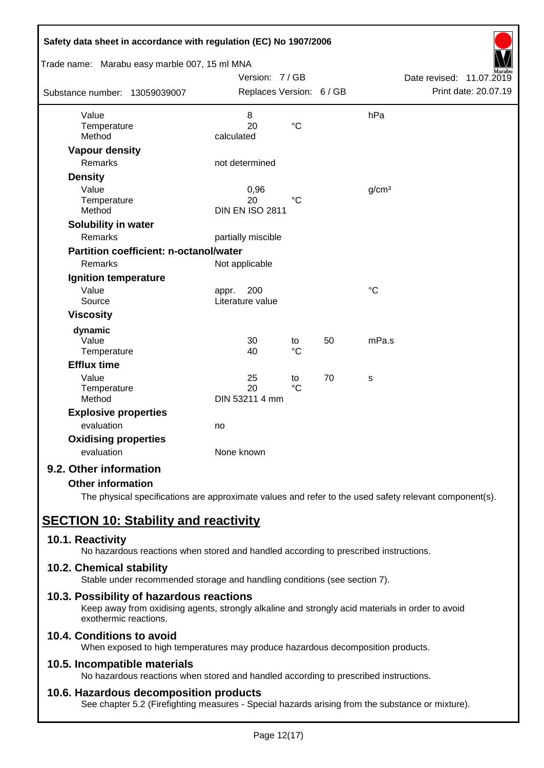| Safety data sheet in accordance with regulation (EC) No 1907/2006 |                                  |                   |    |                   |                             |
|-------------------------------------------------------------------|----------------------------------|-------------------|----|-------------------|-----------------------------|
| Trade name: Marabu easy marble 007, 15 ml MNA                     |                                  |                   |    |                   |                             |
|                                                                   | Version: 7/GB                    |                   |    |                   | Date revised:<br>11.07.2019 |
| Substance number: 13059039007                                     | Replaces Version: 6 / GB         |                   |    |                   | Print date: 20.07.19        |
| Value                                                             | 8                                |                   |    | hPa               |                             |
| Temperature<br>Method                                             | 20<br>calculated                 | $\rm ^{\circ}C$   |    |                   |                             |
| <b>Vapour density</b>                                             |                                  |                   |    |                   |                             |
| Remarks                                                           | not determined                   |                   |    |                   |                             |
| <b>Density</b>                                                    |                                  |                   |    |                   |                             |
| Value<br>Temperature<br>Method                                    | 0,96<br>20<br>DIN EN ISO 2811    | °C                |    | g/cm <sup>3</sup> |                             |
| <b>Solubility in water</b>                                        |                                  |                   |    |                   |                             |
| <b>Remarks</b>                                                    | partially miscible               |                   |    |                   |                             |
| <b>Partition coefficient: n-octanol/water</b>                     |                                  |                   |    |                   |                             |
| Remarks                                                           | Not applicable                   |                   |    |                   |                             |
| <b>Ignition temperature</b>                                       |                                  |                   |    |                   |                             |
| Value<br>Source                                                   | 200<br>appr.<br>Literature value |                   |    | $\rm ^{\circ}C$   |                             |
| <b>Viscosity</b>                                                  |                                  |                   |    |                   |                             |
| dynamic                                                           |                                  |                   |    |                   |                             |
| Value<br>Temperature                                              | 30<br>40                         | to<br>$^{\circ}C$ | 50 | mPa.s             |                             |
| <b>Efflux time</b>                                                |                                  |                   |    |                   |                             |
| Value<br>Temperature<br>Method                                    | 25<br>20<br>DIN 53211 4 mm       | to<br>$^{\circ}C$ | 70 | s                 |                             |
| <b>Explosive properties</b>                                       |                                  |                   |    |                   |                             |
| evaluation                                                        | no                               |                   |    |                   |                             |
| <b>Oxidising properties</b>                                       |                                  |                   |    |                   |                             |
| evaluation                                                        | None known                       |                   |    |                   |                             |
| 9.2. Other information                                            |                                  |                   |    |                   |                             |

#### **Other information**

The physical specifications are approximate values and refer to the used safety relevant component(s).

# **SECTION 10: Stability and reactivity**

#### **10.1. Reactivity**

No hazardous reactions when stored and handled according to prescribed instructions.

#### **10.2. Chemical stability**

Stable under recommended storage and handling conditions (see section 7).

#### **10.3. Possibility of hazardous reactions**

Keep away from oxidising agents, strongly alkaline and strongly acid materials in order to avoid exothermic reactions.

#### **10.4. Conditions to avoid**

When exposed to high temperatures may produce hazardous decomposition products.

#### **10.5. Incompatible materials**

No hazardous reactions when stored and handled according to prescribed instructions.

#### **10.6. Hazardous decomposition products**

See chapter 5.2 (Firefighting measures - Special hazards arising from the substance or mixture).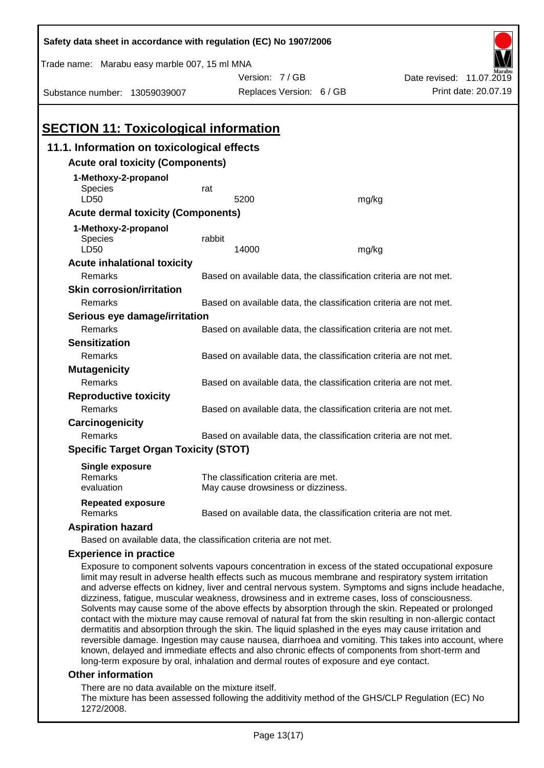| Safety data sheet in accordance with regulation (EC) No 1907/2006                                                                                                                                                                                                                                                                                                                                                                                                                                                                                                                                                                       |        |                                                                   |       |                                                                                                       |
|-----------------------------------------------------------------------------------------------------------------------------------------------------------------------------------------------------------------------------------------------------------------------------------------------------------------------------------------------------------------------------------------------------------------------------------------------------------------------------------------------------------------------------------------------------------------------------------------------------------------------------------------|--------|-------------------------------------------------------------------|-------|-------------------------------------------------------------------------------------------------------|
| Trade name: Marabu easy marble 007, 15 ml MNA                                                                                                                                                                                                                                                                                                                                                                                                                                                                                                                                                                                           |        |                                                                   |       |                                                                                                       |
|                                                                                                                                                                                                                                                                                                                                                                                                                                                                                                                                                                                                                                         |        | Version: 7/GB                                                     |       | Date revised: 11.07.2019                                                                              |
| Substance number: 13059039007                                                                                                                                                                                                                                                                                                                                                                                                                                                                                                                                                                                                           |        | Replaces Version: 6 / GB                                          |       | Print date: 20.07.19                                                                                  |
|                                                                                                                                                                                                                                                                                                                                                                                                                                                                                                                                                                                                                                         |        |                                                                   |       |                                                                                                       |
|                                                                                                                                                                                                                                                                                                                                                                                                                                                                                                                                                                                                                                         |        |                                                                   |       |                                                                                                       |
| <b>SECTION 11: Toxicological information</b>                                                                                                                                                                                                                                                                                                                                                                                                                                                                                                                                                                                            |        |                                                                   |       |                                                                                                       |
| 11.1. Information on toxicological effects                                                                                                                                                                                                                                                                                                                                                                                                                                                                                                                                                                                              |        |                                                                   |       |                                                                                                       |
| <b>Acute oral toxicity (Components)</b>                                                                                                                                                                                                                                                                                                                                                                                                                                                                                                                                                                                                 |        |                                                                   |       |                                                                                                       |
| 1-Methoxy-2-propanol                                                                                                                                                                                                                                                                                                                                                                                                                                                                                                                                                                                                                    |        |                                                                   |       |                                                                                                       |
| Species                                                                                                                                                                                                                                                                                                                                                                                                                                                                                                                                                                                                                                 | rat    |                                                                   |       |                                                                                                       |
| LD50                                                                                                                                                                                                                                                                                                                                                                                                                                                                                                                                                                                                                                    |        | 5200                                                              | mg/kg |                                                                                                       |
| <b>Acute dermal toxicity (Components)</b>                                                                                                                                                                                                                                                                                                                                                                                                                                                                                                                                                                                               |        |                                                                   |       |                                                                                                       |
| 1-Methoxy-2-propanol                                                                                                                                                                                                                                                                                                                                                                                                                                                                                                                                                                                                                    |        |                                                                   |       |                                                                                                       |
| <b>Species</b><br>LD50                                                                                                                                                                                                                                                                                                                                                                                                                                                                                                                                                                                                                  | rabbit | 14000                                                             | mg/kg |                                                                                                       |
| <b>Acute inhalational toxicity</b>                                                                                                                                                                                                                                                                                                                                                                                                                                                                                                                                                                                                      |        |                                                                   |       |                                                                                                       |
| Remarks                                                                                                                                                                                                                                                                                                                                                                                                                                                                                                                                                                                                                                 |        | Based on available data, the classification criteria are not met. |       |                                                                                                       |
| <b>Skin corrosion/irritation</b>                                                                                                                                                                                                                                                                                                                                                                                                                                                                                                                                                                                                        |        |                                                                   |       |                                                                                                       |
| Remarks                                                                                                                                                                                                                                                                                                                                                                                                                                                                                                                                                                                                                                 |        | Based on available data, the classification criteria are not met. |       |                                                                                                       |
| Serious eye damage/irritation                                                                                                                                                                                                                                                                                                                                                                                                                                                                                                                                                                                                           |        |                                                                   |       |                                                                                                       |
| Remarks                                                                                                                                                                                                                                                                                                                                                                                                                                                                                                                                                                                                                                 |        | Based on available data, the classification criteria are not met. |       |                                                                                                       |
| <b>Sensitization</b>                                                                                                                                                                                                                                                                                                                                                                                                                                                                                                                                                                                                                    |        |                                                                   |       |                                                                                                       |
| Remarks                                                                                                                                                                                                                                                                                                                                                                                                                                                                                                                                                                                                                                 |        | Based on available data, the classification criteria are not met. |       |                                                                                                       |
| <b>Mutagenicity</b>                                                                                                                                                                                                                                                                                                                                                                                                                                                                                                                                                                                                                     |        |                                                                   |       |                                                                                                       |
| Remarks                                                                                                                                                                                                                                                                                                                                                                                                                                                                                                                                                                                                                                 |        | Based on available data, the classification criteria are not met. |       |                                                                                                       |
| <b>Reproductive toxicity</b>                                                                                                                                                                                                                                                                                                                                                                                                                                                                                                                                                                                                            |        |                                                                   |       |                                                                                                       |
| Remarks                                                                                                                                                                                                                                                                                                                                                                                                                                                                                                                                                                                                                                 |        | Based on available data, the classification criteria are not met. |       |                                                                                                       |
| Carcinogenicity                                                                                                                                                                                                                                                                                                                                                                                                                                                                                                                                                                                                                         |        |                                                                   |       |                                                                                                       |
| Remarks                                                                                                                                                                                                                                                                                                                                                                                                                                                                                                                                                                                                                                 |        | Based on available data, the classification criteria are not met. |       |                                                                                                       |
| <b>Specific Target Organ Toxicity (STOT)</b>                                                                                                                                                                                                                                                                                                                                                                                                                                                                                                                                                                                            |        |                                                                   |       |                                                                                                       |
| Single exposure                                                                                                                                                                                                                                                                                                                                                                                                                                                                                                                                                                                                                         |        |                                                                   |       |                                                                                                       |
| Remarks                                                                                                                                                                                                                                                                                                                                                                                                                                                                                                                                                                                                                                 |        | The classification criteria are met.                              |       |                                                                                                       |
| evaluation                                                                                                                                                                                                                                                                                                                                                                                                                                                                                                                                                                                                                              |        | May cause drowsiness or dizziness.                                |       |                                                                                                       |
| <b>Repeated exposure</b><br>Remarks                                                                                                                                                                                                                                                                                                                                                                                                                                                                                                                                                                                                     |        | Based on available data, the classification criteria are not met. |       |                                                                                                       |
| <b>Aspiration hazard</b>                                                                                                                                                                                                                                                                                                                                                                                                                                                                                                                                                                                                                |        |                                                                   |       |                                                                                                       |
| Based on available data, the classification criteria are not met.                                                                                                                                                                                                                                                                                                                                                                                                                                                                                                                                                                       |        |                                                                   |       |                                                                                                       |
| <b>Experience in practice</b>                                                                                                                                                                                                                                                                                                                                                                                                                                                                                                                                                                                                           |        |                                                                   |       |                                                                                                       |
| Exposure to component solvents vapours concentration in excess of the stated occupational exposure<br>limit may result in adverse health effects such as mucous membrane and respiratory system irritation<br>dizziness, fatigue, muscular weakness, drowsiness and in extreme cases, loss of consciousness.<br>Solvents may cause some of the above effects by absorption through the skin. Repeated or prolonged<br>contact with the mixture may cause removal of natural fat from the skin resulting in non-allergic contact<br>dermatitis and absorption through the skin. The liquid splashed in the eyes may cause irritation and |        |                                                                   |       | and adverse effects on kidney, liver and central nervous system. Symptoms and signs include headache, |
|                                                                                                                                                                                                                                                                                                                                                                                                                                                                                                                                                                                                                                         |        |                                                                   |       | reversible damage. Ingestion may cause nausea, diarrhoea and vomiting. This takes into account, where |

#### **Other information**

There are no data available on the mixture itself.

The mixture has been assessed following the additivity method of the GHS/CLP Regulation (EC) No 1272/2008.

known, delayed and immediate effects and also chronic effects of components from short-term and

long-term exposure by oral, inhalation and dermal routes of exposure and eye contact.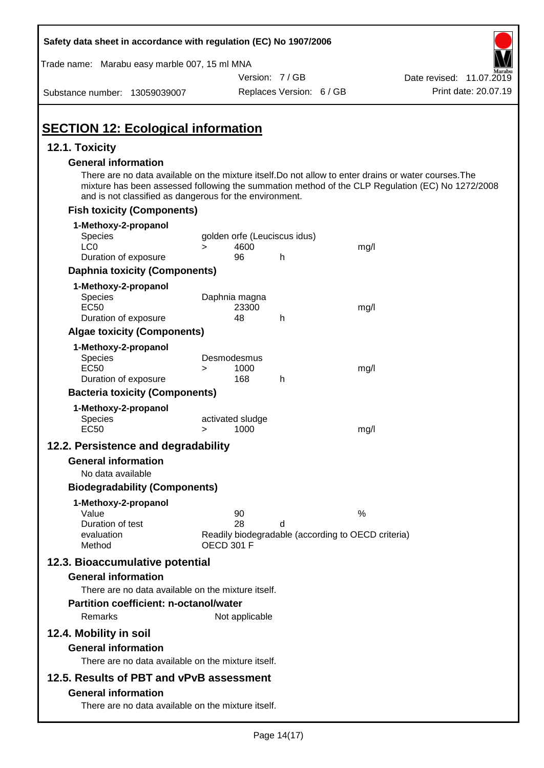| Safety data sheet in accordance with regulation (EC) No 1907/2006                                                                                                                                                                                                                                  |                   |                              |                                                         |      |                          |  |
|----------------------------------------------------------------------------------------------------------------------------------------------------------------------------------------------------------------------------------------------------------------------------------------------------|-------------------|------------------------------|---------------------------------------------------------|------|--------------------------|--|
| Trade name: Marabu easy marble 007, 15 ml MNA                                                                                                                                                                                                                                                      |                   |                              |                                                         |      |                          |  |
|                                                                                                                                                                                                                                                                                                    |                   | Version: 7/GB                |                                                         |      | Date revised: 11.07.2019 |  |
| Substance number: 13059039007                                                                                                                                                                                                                                                                      |                   |                              | Replaces Version: 6 / GB                                |      | Print date: 20.07.19     |  |
| <b>SECTION 12: Ecological information</b>                                                                                                                                                                                                                                                          |                   |                              |                                                         |      |                          |  |
| 12.1. Toxicity                                                                                                                                                                                                                                                                                     |                   |                              |                                                         |      |                          |  |
| <b>General information</b><br>There are no data available on the mixture itself. Do not allow to enter drains or water courses. The<br>mixture has been assessed following the summation method of the CLP Regulation (EC) No 1272/2008<br>and is not classified as dangerous for the environment. |                   |                              |                                                         |      |                          |  |
| <b>Fish toxicity (Components)</b>                                                                                                                                                                                                                                                                  |                   |                              |                                                         |      |                          |  |
| 1-Methoxy-2-propanol                                                                                                                                                                                                                                                                               |                   |                              |                                                         |      |                          |  |
| Species                                                                                                                                                                                                                                                                                            |                   | golden orfe (Leuciscus idus) |                                                         |      |                          |  |
| LC <sub>0</sub>                                                                                                                                                                                                                                                                                    | $\geq$            | 4600                         |                                                         | mg/l |                          |  |
| Duration of exposure                                                                                                                                                                                                                                                                               |                   | 96                           | h                                                       |      |                          |  |
| <b>Daphnia toxicity (Components)</b>                                                                                                                                                                                                                                                               |                   |                              |                                                         |      |                          |  |
| 1-Methoxy-2-propanol<br><b>Species</b><br><b>EC50</b><br>Duration of exposure                                                                                                                                                                                                                      |                   | Daphnia magna<br>23300<br>48 | h                                                       | mg/l |                          |  |
| <b>Algae toxicity (Components)</b>                                                                                                                                                                                                                                                                 |                   |                              |                                                         |      |                          |  |
| 1-Methoxy-2-propanol<br><b>Species</b><br><b>EC50</b><br>Duration of exposure                                                                                                                                                                                                                      | $\geq$            | Desmodesmus<br>1000<br>168   | h                                                       | mg/l |                          |  |
| <b>Bacteria toxicity (Components)</b>                                                                                                                                                                                                                                                              |                   |                              |                                                         |      |                          |  |
| 1-Methoxy-2-propanol                                                                                                                                                                                                                                                                               |                   |                              |                                                         |      |                          |  |
| <b>Species</b><br><b>EC50</b>                                                                                                                                                                                                                                                                      | >                 | activated sludge<br>1000     |                                                         | mg/l |                          |  |
| 12.2. Persistence and degradability                                                                                                                                                                                                                                                                |                   |                              |                                                         |      |                          |  |
| <b>General information</b>                                                                                                                                                                                                                                                                         |                   |                              |                                                         |      |                          |  |
| No data available                                                                                                                                                                                                                                                                                  |                   |                              |                                                         |      |                          |  |
| <b>Biodegradability (Components)</b>                                                                                                                                                                                                                                                               |                   |                              |                                                         |      |                          |  |
| 1-Methoxy-2-propanol<br>Value<br>Duration of test<br>evaluation<br>Method                                                                                                                                                                                                                          | <b>OECD 301 F</b> | 90<br>28                     | d<br>Readily biodegradable (according to OECD criteria) | %    |                          |  |
| 12.3. Bioaccumulative potential<br><b>General information</b>                                                                                                                                                                                                                                      |                   |                              |                                                         |      |                          |  |
| There are no data available on the mixture itself.<br><b>Partition coefficient: n-octanol/water</b><br>Remarks                                                                                                                                                                                     |                   | Not applicable               |                                                         |      |                          |  |
| 12.4. Mobility in soil<br><b>General information</b><br>There are no data available on the mixture itself.                                                                                                                                                                                         |                   |                              |                                                         |      |                          |  |
| 12.5. Results of PBT and vPvB assessment                                                                                                                                                                                                                                                           |                   |                              |                                                         |      |                          |  |
| <b>General information</b><br>There are no data available on the mixture itself.                                                                                                                                                                                                                   |                   |                              |                                                         |      |                          |  |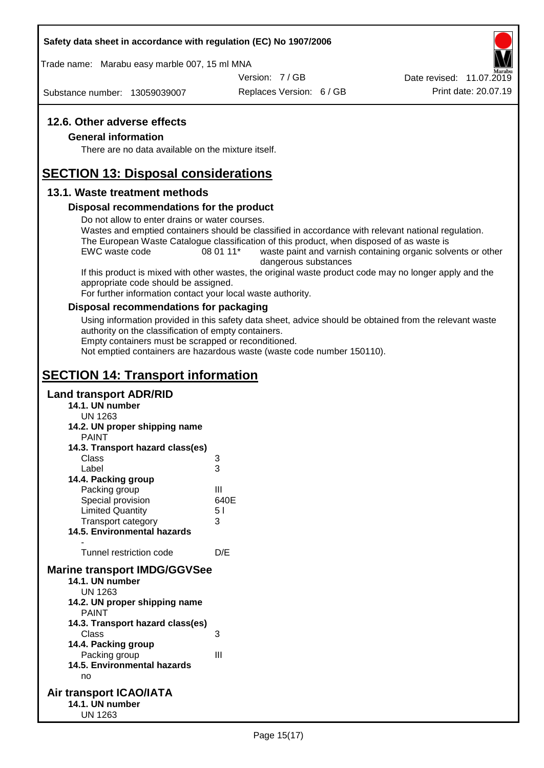#### **Safety data sheet in accordance with regulation (EC) No 1907/2006**

Trade name: Marabu easy marble 007, 15 ml MNA

Version: 7 / GB

Substance number: 13059039007

Replaces Version: 6 / GB Print date: 20.07.19 Date revised: 11.07.2019

#### **12.6. Other adverse effects**

#### **General information**

There are no data available on the mixture itself.

# **SECTION 13: Disposal considerations**

#### **13.1. Waste treatment methods**

#### **Disposal recommendations for the product**

Do not allow to enter drains or water courses.

Wastes and emptied containers should be classified in accordance with relevant national regulation. The European Waste Catalogue classification of this product, when disposed of as waste is

EWC waste code 08 01 11<sup>\*</sup> waste paint and varnish containing organic solvents or other dangerous substances

If this product is mixed with other wastes, the original waste product code may no longer apply and the appropriate code should be assigned.

For further information contact your local waste authority.

#### **Disposal recommendations for packaging**

Using information provided in this safety data sheet, advice should be obtained from the relevant waste authority on the classification of empty containers.

Empty containers must be scrapped or reconditioned.

Not emptied containers are hazardous waste (waste code number 150110).

# **SECTION 14: Transport information**

#### **Land transport ADR/RID**

- **14.1. UN number** UN 1263 **14.2. UN proper shipping name** PAINT **14.3. Transport hazard class(es)** Class 3 Label 3 **14.4. Packing group** Packing group III Special provision 640E Limited Quantity 5 l Transport category 3 **14.5. Environmental hazards** - Tunnel restriction code D/E **Marine transport IMDG/GGVSee 14.1. UN number** UN 1263 **14.2. UN proper shipping name** PAINT **14.3. Transport hazard class(es)** Class 3 **14.4. Packing group** Packing group III **14.5. Environmental hazards** no **Air transport ICAO/IATA 14.1. UN number**
	- UN 1263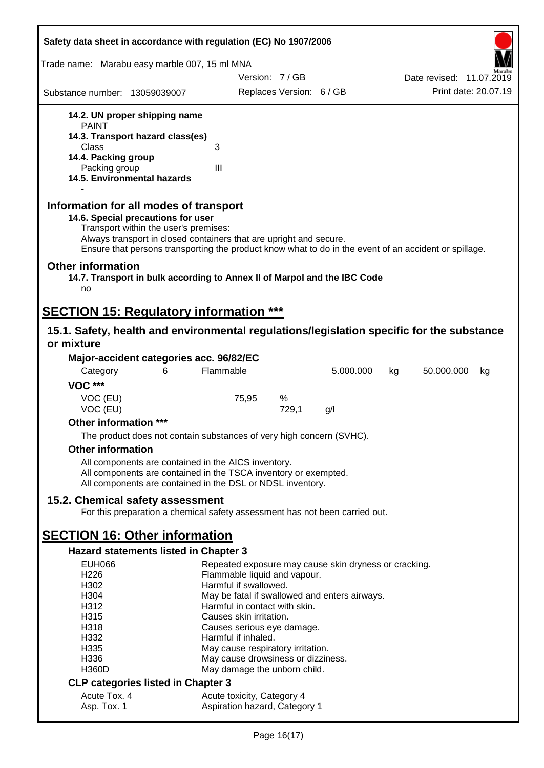| Safety data sheet in accordance with regulation (EC) No 1907/2006                                                                                                                                                                                                                                    |                                                                                |                          |           |    |                          |
|------------------------------------------------------------------------------------------------------------------------------------------------------------------------------------------------------------------------------------------------------------------------------------------------------|--------------------------------------------------------------------------------|--------------------------|-----------|----|--------------------------|
| Trade name: Marabu easy marble 007, 15 ml MNA                                                                                                                                                                                                                                                        |                                                                                |                          |           |    |                          |
|                                                                                                                                                                                                                                                                                                      | Version: 7/GB                                                                  |                          |           |    | Date revised: 11.07.2019 |
| Substance number: 13059039007                                                                                                                                                                                                                                                                        |                                                                                | Replaces Version: 6 / GB |           |    | Print date: 20.07.19     |
| 14.2. UN proper shipping name                                                                                                                                                                                                                                                                        |                                                                                |                          |           |    |                          |
| <b>PAINT</b>                                                                                                                                                                                                                                                                                         |                                                                                |                          |           |    |                          |
| 14.3. Transport hazard class(es)<br>Class                                                                                                                                                                                                                                                            | 3                                                                              |                          |           |    |                          |
| 14.4. Packing group                                                                                                                                                                                                                                                                                  |                                                                                |                          |           |    |                          |
| Packing group<br>14.5. Environmental hazards                                                                                                                                                                                                                                                         | III                                                                            |                          |           |    |                          |
|                                                                                                                                                                                                                                                                                                      |                                                                                |                          |           |    |                          |
| Information for all modes of transport<br>14.6. Special precautions for user<br>Transport within the user's premises:<br>Always transport in closed containers that are upright and secure.<br>Ensure that persons transporting the product know what to do in the event of an accident or spillage. |                                                                                |                          |           |    |                          |
| <b>Other information</b><br>14.7. Transport in bulk according to Annex II of Marpol and the IBC Code                                                                                                                                                                                                 |                                                                                |                          |           |    |                          |
| no                                                                                                                                                                                                                                                                                                   |                                                                                |                          |           |    |                          |
| <b>SECTION 15: Regulatory information ***</b>                                                                                                                                                                                                                                                        |                                                                                |                          |           |    |                          |
| 15.1. Safety, health and environmental regulations/legislation specific for the substance                                                                                                                                                                                                            |                                                                                |                          |           |    |                          |
| or mixture                                                                                                                                                                                                                                                                                           |                                                                                |                          |           |    |                          |
| Major-accident categories acc. 96/82/EC                                                                                                                                                                                                                                                              |                                                                                |                          |           |    |                          |
| Category<br>6                                                                                                                                                                                                                                                                                        | Flammable                                                                      |                          | 5.000.000 | kg | 50.000.000<br>kg         |
| <b>VOC ***</b>                                                                                                                                                                                                                                                                                       |                                                                                |                          |           |    |                          |
| VOC (EU)<br>VOC (EU)                                                                                                                                                                                                                                                                                 | 75,95                                                                          | %<br>729,1               | g/        |    |                          |
| Other information ***                                                                                                                                                                                                                                                                                |                                                                                |                          |           |    |                          |
| The product does not contain substances of very high concern (SVHC).                                                                                                                                                                                                                                 |                                                                                |                          |           |    |                          |
| <b>Other information</b>                                                                                                                                                                                                                                                                             |                                                                                |                          |           |    |                          |
| All components are contained in the AICS inventory.                                                                                                                                                                                                                                                  |                                                                                |                          |           |    |                          |
| All components are contained in the TSCA inventory or exempted.<br>All components are contained in the DSL or NDSL inventory.                                                                                                                                                                        |                                                                                |                          |           |    |                          |
| 15.2. Chemical safety assessment                                                                                                                                                                                                                                                                     |                                                                                |                          |           |    |                          |
| For this preparation a chemical safety assessment has not been carried out.                                                                                                                                                                                                                          |                                                                                |                          |           |    |                          |
| <b>SECTION 16: Other information</b>                                                                                                                                                                                                                                                                 |                                                                                |                          |           |    |                          |
| Hazard statements listed in Chapter 3                                                                                                                                                                                                                                                                |                                                                                |                          |           |    |                          |
| <b>EUH066</b>                                                                                                                                                                                                                                                                                        | Repeated exposure may cause skin dryness or cracking.                          |                          |           |    |                          |
| H <sub>226</sub>                                                                                                                                                                                                                                                                                     | Flammable liquid and vapour.                                                   |                          |           |    |                          |
| H302                                                                                                                                                                                                                                                                                                 | Harmful if swallowed.                                                          |                          |           |    |                          |
| H304<br>H312                                                                                                                                                                                                                                                                                         | May be fatal if swallowed and enters airways.<br>Harmful in contact with skin. |                          |           |    |                          |
| H315                                                                                                                                                                                                                                                                                                 | Causes skin irritation.                                                        |                          |           |    |                          |
| H318                                                                                                                                                                                                                                                                                                 | Causes serious eye damage.                                                     |                          |           |    |                          |
| H332                                                                                                                                                                                                                                                                                                 | Harmful if inhaled.                                                            |                          |           |    |                          |
| H335                                                                                                                                                                                                                                                                                                 | May cause respiratory irritation.                                              |                          |           |    |                          |
| H336                                                                                                                                                                                                                                                                                                 | May cause drowsiness or dizziness.                                             |                          |           |    |                          |
| <b>H360D</b>                                                                                                                                                                                                                                                                                         | May damage the unborn child.                                                   |                          |           |    |                          |
| <b>CLP categories listed in Chapter 3</b>                                                                                                                                                                                                                                                            |                                                                                |                          |           |    |                          |
| Acute Tox. 4<br>Asp. Tox. 1                                                                                                                                                                                                                                                                          | Acute toxicity, Category 4<br>Aspiration hazard, Category 1                    |                          |           |    |                          |
|                                                                                                                                                                                                                                                                                                      |                                                                                |                          |           |    |                          |